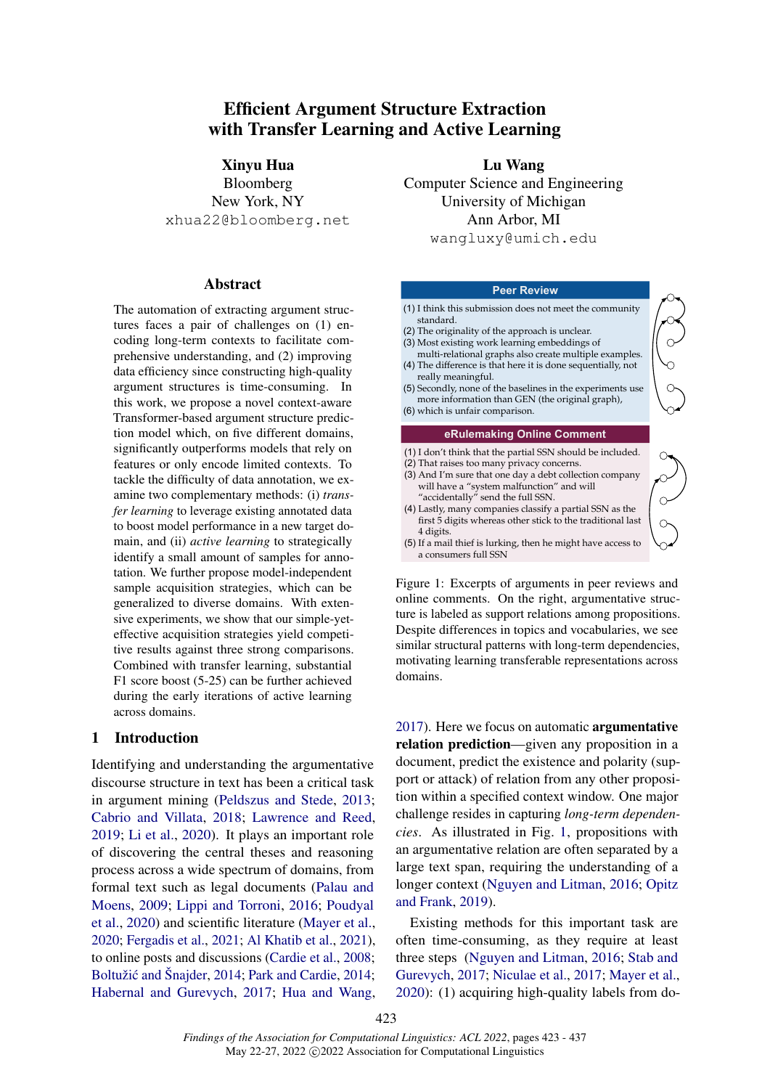# Efficient Argument Structure Extraction with Transfer Learning and Active Learning

Xinyu Hua Bloomberg New York, NY xhua22@bloomberg.net

#### Abstract

The automation of extracting argument structures faces a pair of challenges on (1) encoding long-term contexts to facilitate comprehensive understanding, and (2) improving data efficiency since constructing high-quality argument structures is time-consuming. In this work, we propose a novel context-aware Transformer-based argument structure prediction model which, on five different domains, significantly outperforms models that rely on features or only encode limited contexts. To tackle the difficulty of data annotation, we examine two complementary methods: (i) *transfer learning* to leverage existing annotated data to boost model performance in a new target domain, and (ii) *active learning* to strategically identify a small amount of samples for annotation. We further propose model-independent sample acquisition strategies, which can be generalized to diverse domains. With extensive experiments, we show that our simple-yeteffective acquisition strategies yield competitive results against three strong comparisons. Combined with transfer learning, substantial F1 score boost (5-25) can be further achieved during the early iterations of active learning across domains.

### 1 Introduction

Identifying and understanding the argumentative discourse structure in text has been a critical task in argument mining [\(Peldszus and Stede,](#page-11-0) [2013;](#page-11-0) [Cabrio and Villata,](#page-9-0) [2018;](#page-9-0) [Lawrence and Reed,](#page-10-0) [2019;](#page-10-0) [Li et al.,](#page-10-1) [2020\)](#page-10-1). It plays an important role of discovering the central theses and reasoning process across a wide spectrum of domains, from formal text such as legal documents [\(Palau and](#page-10-2) [Moens,](#page-10-2) [2009;](#page-10-2) [Lippi and Torroni,](#page-10-3) [2016;](#page-10-3) [Poudyal](#page-11-1) [et al.,](#page-11-1) [2020\)](#page-11-1) and scientific literature [\(Mayer et al.,](#page-10-4) [2020;](#page-10-4) [Fergadis et al.,](#page-9-1) [2021;](#page-9-1) [Al Khatib et al.,](#page-9-2) [2021\)](#page-9-2), to online posts and discussions [\(Cardie et al.,](#page-9-3) [2008;](#page-9-3) Boltužić and Šnajder, [2014;](#page-11-2) [Park and Cardie,](#page-11-2) 2014; [Habernal and Gurevych,](#page-9-5) [2017;](#page-9-5) [Hua and Wang,](#page-10-5)

Lu Wang Computer Science and Engineering University of Michigan Ann Arbor, MI wangluxy@umich.edu

#### **Peer Review**

<span id="page-0-0"></span>

Figure 1: Excerpts of arguments in peer reviews and online comments. On the right, argumentative structure is labeled as support relations among propositions. Despite differences in topics and vocabularies, we see similar structural patterns with long-term dependencies, motivating learning transferable representations across domains.

[2017\)](#page-10-5). Here we focus on automatic argumentative relation prediction—given any proposition in a document, predict the existence and polarity (support or attack) of relation from any other proposition within a specified context window. One major challenge resides in capturing *long-term dependencies*. As illustrated in Fig. [1,](#page-0-0) propositions with an argumentative relation are often separated by a large text span, requiring the understanding of a longer context [\(Nguyen and Litman,](#page-10-6) [2016;](#page-10-6) [Opitz](#page-10-7) [and Frank,](#page-10-7) [2019\)](#page-10-7).

Existing methods for this important task are often time-consuming, as they require at least three steps [\(Nguyen and Litman,](#page-10-6) [2016;](#page-10-6) [Stab and](#page-11-3) [Gurevych,](#page-11-3) [2017;](#page-11-3) [Niculae et al.,](#page-10-8) [2017;](#page-10-8) [Mayer et al.,](#page-10-4) [2020\)](#page-10-4): (1) acquiring high-quality labels from do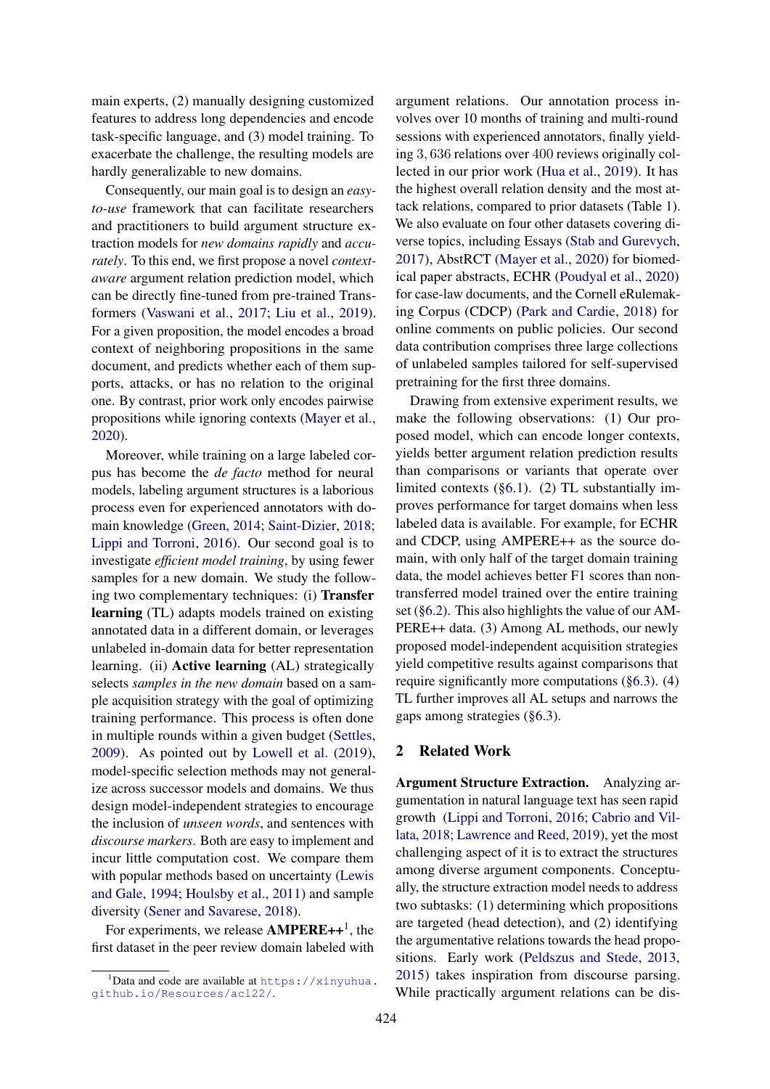main experts, (2) manually designing customized features to address long dependencies and encode task-specific language, and (3) model training. To exacerbate the challenge, the resulting models are hardly generalizable to new domains.

Consequently, our main goal is to design an *easyto-use* framework that can facilitate researchers and practitioners to build argument structure extraction models for *new domains rapidly* and *accurately*. To this end, we first propose a novel *contextaware* argument relation prediction model, which can be directly fine-tuned from pre-trained Transformers [\(Vaswani et al.,](#page-11-4) [2017;](#page-11-4) [Liu et al.,](#page-10-9) [2019\)](#page-10-9). For a given proposition, the model encodes a broad context of neighboring propositions in the same document, and predicts whether each of them supports, attacks, or has no relation to the original one. By contrast, prior work only encodes pairwise propositions while ignoring contexts [\(Mayer et al.,](#page-10-4) [2020\)](#page-10-4).

Moreover, while training on a large labeled corpus has become the *de facto* method for neural models, labeling argument structures is a laborious process even for experienced annotators with domain knowledge [\(Green,](#page-9-6) [2014;](#page-9-6) [Saint-Dizier,](#page-11-5) [2018;](#page-11-5) [Lippi and Torroni,](#page-10-3) [2016\)](#page-10-3). Our second goal is to investigate *efficient model training*, by using fewer samples for a new domain. We study the following two complementary techniques: (i) Transfer learning (TL) adapts models trained on existing annotated data in a different domain, or leverages unlabeled in-domain data for better representation learning. (ii) **Active learning** (AL) strategically selects *samples in the new domain* based on a sample acquisition strategy with the goal of optimizing training performance. This process is often done in multiple rounds within a given budget [\(Settles,](#page-11-6) [2009\)](#page-11-6). As pointed out by [Lowell et al.](#page-10-10) [\(2019\)](#page-10-10), model-specific selection methods may not generalize across successor models and domains. We thus design model-independent strategies to encourage the inclusion of *unseen words*, and sentences with *discourse markers*. Both are easy to implement and incur little computation cost. We compare them with popular methods based on uncertainty [\(Lewis](#page-10-11) [and Gale,](#page-10-11) [1994;](#page-10-11) [Houlsby et al.,](#page-9-7) [2011\)](#page-9-7) and sample diversity [\(Sener and Savarese,](#page-11-7) [2018\)](#page-11-7).

For experiments, we release  $AMPERE++^1$  $AMPERE++^1$ , the first dataset in the peer review domain labeled with argument relations. Our annotation process involves over 10 months of training and multi-round sessions with experienced annotators, finally yielding 3, 636 relations over 400 reviews originally collected in our prior work [\(Hua et al.,](#page-10-12) [2019\)](#page-10-12). It has the highest overall relation density and the most attack relations, compared to prior datasets (Table [1\)](#page-4-0). We also evaluate on four other datasets covering diverse topics, including Essays [\(Stab and Gurevych,](#page-11-3) [2017\)](#page-11-3), AbstRCT [\(Mayer et al.,](#page-10-4) [2020\)](#page-10-4) for biomedical paper abstracts, ECHR [\(Poudyal et al.,](#page-11-1) [2020\)](#page-11-1) for case-law documents, and the Cornell eRulemaking Corpus (CDCP) [\(Park and Cardie,](#page-11-8) [2018\)](#page-11-8) for online comments on public policies. Our second data contribution comprises three large collections of unlabeled samples tailored for self-supervised pretraining for the first three domains.

Drawing from extensive experiment results, we make the following observations: (1) Our proposed model, which can encode longer contexts, yields better argument relation prediction results than comparisons or variants that operate over limited contexts ([§6.1\)](#page-6-0). (2) TL substantially improves performance for target domains when less labeled data is available. For example, for ECHR and CDCP, using AMPERE++ as the source domain, with only half of the target domain training data, the model achieves better F1 scores than nontransferred model trained over the entire training set ([§6.2\)](#page-6-1). This also highlights the value of our AM-PERE++ data. (3) Among AL methods, our newly proposed model-independent acquisition strategies yield competitive results against comparisons that require significantly more computations  $(\S6.3)$ . (4) TL further improves all AL setups and narrows the gaps among strategies ([§6.3\)](#page-7-0).

### 2 Related Work

Argument Structure Extraction. Analyzing argumentation in natural language text has seen rapid growth [\(Lippi and Torroni,](#page-10-3) [2016;](#page-10-3) [Cabrio and Vil](#page-9-0)[lata,](#page-9-0) [2018;](#page-9-0) [Lawrence and Reed,](#page-10-0) [2019\)](#page-10-0), yet the most challenging aspect of it is to extract the structures among diverse argument components. Conceptually, the structure extraction model needs to address two subtasks: (1) determining which propositions are targeted (head detection), and (2) identifying the argumentative relations towards the head propositions. Early work [\(Peldszus and Stede,](#page-11-0) [2013,](#page-11-0) [2015\)](#page-11-9) takes inspiration from discourse parsing. While practically argument relations can be dis-

<span id="page-1-0"></span> $1$ Data and code are available at [https://xinyuhua.](https://xinyuhua.github.io/Resources/acl22/) [github.io/Resources/acl22/](https://xinyuhua.github.io/Resources/acl22/).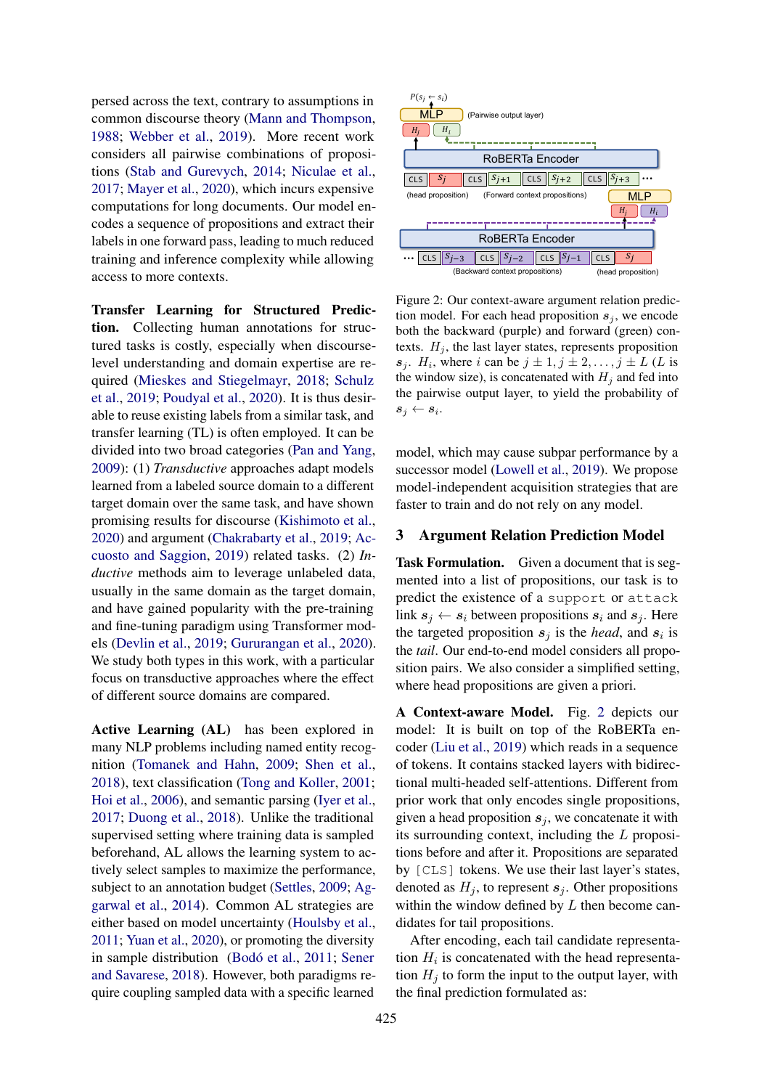persed across the text, contrary to assumptions in common discourse theory [\(Mann and Thompson,](#page-10-13) [1988;](#page-10-13) [Webber et al.,](#page-11-10) [2019\)](#page-11-10). More recent work considers all pairwise combinations of propositions [\(Stab and Gurevych,](#page-11-11) [2014;](#page-11-11) [Niculae et al.,](#page-10-8) [2017;](#page-10-8) [Mayer et al.,](#page-10-4) [2020\)](#page-10-4), which incurs expensive computations for long documents. Our model encodes a sequence of propositions and extract their labels in one forward pass, leading to much reduced training and inference complexity while allowing access to more contexts.

Transfer Learning for Structured Prediction. Collecting human annotations for structured tasks is costly, especially when discourselevel understanding and domain expertise are required [\(Mieskes and Stiegelmayr,](#page-10-14) [2018;](#page-10-14) [Schulz](#page-11-12) [et al.,](#page-11-12) [2019;](#page-11-12) [Poudyal et al.,](#page-11-1) [2020\)](#page-11-1). It is thus desirable to reuse existing labels from a similar task, and transfer learning (TL) is often employed. It can be divided into two broad categories [\(Pan and Yang,](#page-10-15) [2009\)](#page-10-15): (1) *Transductive* approaches adapt models learned from a labeled source domain to a different target domain over the same task, and have shown promising results for discourse [\(Kishimoto et al.,](#page-10-16) [2020\)](#page-10-16) and argument [\(Chakrabarty et al.,](#page-9-8) [2019;](#page-9-8) [Ac](#page-9-9)[cuosto and Saggion,](#page-9-9) [2019\)](#page-9-9) related tasks. (2) *Inductive* methods aim to leverage unlabeled data, usually in the same domain as the target domain, and have gained popularity with the pre-training and fine-tuning paradigm using Transformer models [\(Devlin et al.,](#page-9-10) [2019;](#page-9-10) [Gururangan et al.,](#page-9-11) [2020\)](#page-9-11). We study both types in this work, with a particular focus on transductive approaches where the effect of different source domains are compared.

Active Learning (AL) has been explored in many NLP problems including named entity recognition [\(Tomanek and Hahn,](#page-11-13) [2009;](#page-11-13) [Shen et al.,](#page-11-14) [2018\)](#page-11-14), text classification [\(Tong and Koller,](#page-11-15) [2001;](#page-11-15) [Hoi et al.,](#page-9-12) [2006\)](#page-9-12), and semantic parsing [\(Iyer et al.,](#page-10-17) [2017;](#page-10-17) [Duong et al.,](#page-9-13) [2018\)](#page-9-13). Unlike the traditional supervised setting where training data is sampled beforehand, AL allows the learning system to actively select samples to maximize the performance, subject to an annotation budget [\(Settles,](#page-11-6) [2009;](#page-11-6) [Ag](#page-9-14)[garwal et al.,](#page-9-14) [2014\)](#page-9-14). Common AL strategies are either based on model uncertainty [\(Houlsby et al.,](#page-9-7) [2011;](#page-9-7) [Yuan et al.,](#page-11-16) [2020\)](#page-11-16), or promoting the diversity in sample distribution [\(Bodó et al.,](#page-9-15) [2011;](#page-9-15) [Sener](#page-11-7) [and Savarese,](#page-11-7) [2018\)](#page-11-7). However, both paradigms require coupling sampled data with a specific learned

<span id="page-2-0"></span>

Figure 2: Our context-aware argument relation prediction model. For each head proposition  $s_j$ , we encode both the backward (purple) and forward (green) contexts.  $H_i$ , the last layer states, represents proposition  $s_j$ .  $H_i$ , where i can be  $j \pm 1, j \pm 2, \ldots, j \pm L$  (L is the window size), is concatenated with  $H_j$  and fed into the pairwise output layer, to yield the probability of  $s_j \leftarrow s_i$ .

model, which may cause subpar performance by a successor model [\(Lowell et al.,](#page-10-10) [2019\)](#page-10-10). We propose model-independent acquisition strategies that are faster to train and do not rely on any model.

# 3 Argument Relation Prediction Model

Task Formulation. Given a document that is segmented into a list of propositions, our task is to predict the existence of a support or attack link  $s_i \leftarrow s_i$  between propositions  $s_i$  and  $s_j$ . Here the targeted proposition  $s_j$  is the *head*, and  $s_i$  is the *tail*. Our end-to-end model considers all proposition pairs. We also consider a simplified setting, where head propositions are given a priori.

A Context-aware Model. Fig. [2](#page-2-0) depicts our model: It is built on top of the RoBERTa encoder [\(Liu et al.,](#page-10-9) [2019\)](#page-10-9) which reads in a sequence of tokens. It contains stacked layers with bidirectional multi-headed self-attentions. Different from prior work that only encodes single propositions, given a head proposition  $s_j$ , we concatenate it with its surrounding context, including the L propositions before and after it. Propositions are separated by [CLS] tokens. We use their last layer's states, denoted as  $H_i$ , to represent  $s_i$ . Other propositions within the window defined by  $L$  then become candidates for tail propositions.

After encoding, each tail candidate representation  $H_i$  is concatenated with the head representation  $H_i$  to form the input to the output layer, with the final prediction formulated as: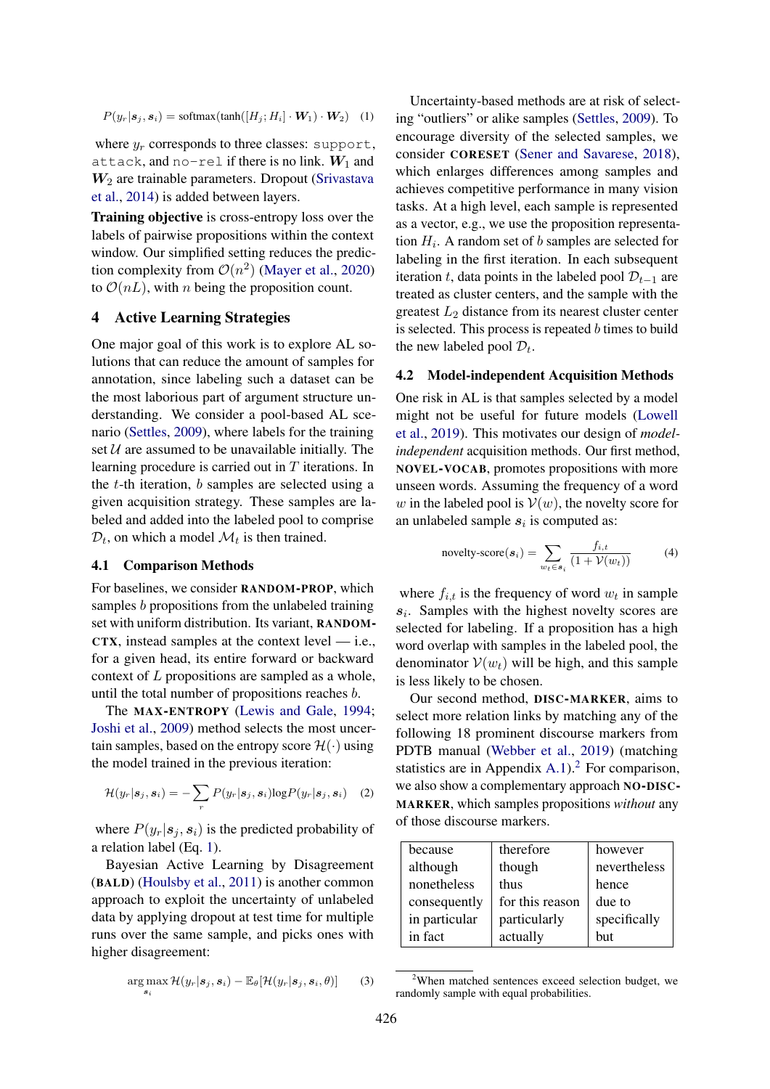$P(y_r|\mathbf{s}_j, \mathbf{s}_i) = \text{softmax}(\text{tanh}([H_j; H_i] \cdot \mathbf{W}_1) \cdot \mathbf{W}_2)$  (1)

where  $y_r$  corresponds to three classes: support, attack, and no-rel if there is no link.  $W_1$  and  $W<sub>2</sub>$  are trainable parameters. Dropout [\(Srivastava](#page-11-17) [et al.,](#page-11-17) [2014\)](#page-11-17) is added between layers.

Training objective is cross-entropy loss over the labels of pairwise propositions within the context window. Our simplified setting reduces the prediction complexity from  $\mathcal{O}(n^2)$  [\(Mayer et al.,](#page-10-4) [2020\)](#page-10-4) to  $\mathcal{O}(nL)$ , with *n* being the proposition count.

# <span id="page-3-2"></span>4 Active Learning Strategies

One major goal of this work is to explore AL solutions that can reduce the amount of samples for annotation, since labeling such a dataset can be the most laborious part of argument structure understanding. We consider a pool-based AL scenario [\(Settles,](#page-11-6) [2009\)](#page-11-6), where labels for the training set  $U$  are assumed to be unavailable initially. The learning procedure is carried out in T iterations. In the  $t$ -th iteration,  $b$  samples are selected using a given acquisition strategy. These samples are labeled and added into the labeled pool to comprise  $\mathcal{D}_t$ , on which a model  $\mathcal{M}_t$  is then trained.

#### 4.1 Comparison Methods

For baselines, we consider RANDOM-PROP, which samples b propositions from the unlabeled training set with uniform distribution. Its variant, RANDOM-CTX, instead samples at the context level — i.e., for a given head, its entire forward or backward context of L propositions are sampled as a whole, until the total number of propositions reaches b.

The MAX-ENTROPY [\(Lewis and Gale,](#page-10-11) [1994;](#page-10-11) [Joshi et al.,](#page-10-18) [2009\)](#page-10-18) method selects the most uncertain samples, based on the entropy score  $\mathcal{H}(\cdot)$  using the model trained in the previous iteration:

$$
\mathcal{H}(y_r|\mathbf{s}_j,\mathbf{s}_i)=-\sum_r P(y_r|\mathbf{s}_j,\mathbf{s}_i)\log P(y_r|\mathbf{s}_j,\mathbf{s}_i) \quad (2)
$$

where  $P(y_r|\mathbf{s}_i, \mathbf{s}_i)$  is the predicted probability of a relation label (Eq. [1\)](#page-3-0).

Bayesian Active Learning by Disagreement (BALD) [\(Houlsby et al.,](#page-9-7) [2011\)](#page-9-7) is another common approach to exploit the uncertainty of unlabeled data by applying dropout at test time for multiple runs over the same sample, and picks ones with higher disagreement:

$$
\underset{\boldsymbol{s}_i}{\arg\max} \mathcal{H}(y_r|\boldsymbol{s}_j,\boldsymbol{s}_i) - \mathbb{E}_{\theta}[\mathcal{H}(y_r|\boldsymbol{s}_j,\boldsymbol{s}_i,\theta)] \qquad (3)
$$

<span id="page-3-0"></span>Uncertainty-based methods are at risk of selecting "outliers" or alike samples [\(Settles,](#page-11-6) [2009\)](#page-11-6). To encourage diversity of the selected samples, we consider CORESET [\(Sener and Savarese,](#page-11-7) [2018\)](#page-11-7), which enlarges differences among samples and achieves competitive performance in many vision tasks. At a high level, each sample is represented as a vector, e.g., we use the proposition representation  $H_i$ . A random set of b samples are selected for labeling in the first iteration. In each subsequent iteration t, data points in the labeled pool  $\mathcal{D}_{t-1}$  are treated as cluster centers, and the sample with the greatest  $L_2$  distance from its nearest cluster center is selected. This process is repeated b times to build the new labeled pool  $\mathcal{D}_t$ .

### <span id="page-3-3"></span>4.2 Model-independent Acquisition Methods

One risk in AL is that samples selected by a model might not be useful for future models [\(Lowell](#page-10-10) [et al.,](#page-10-10) [2019\)](#page-10-10). This motivates our design of *modelindependent* acquisition methods. Our first method, NOVEL-VOCAB, promotes propositions with more unseen words. Assuming the frequency of a word w in the labeled pool is  $V(w)$ , the novelty score for an unlabeled sample  $s_i$  is computed as:

novelty-score(
$$
\mathbf{s}_i
$$
) = 
$$
\sum_{w_t \in \mathbf{s}_i} \frac{f_{i,t}}{(1 + \mathcal{V}(w_t))}
$$
(4)

where  $f_{i,t}$  is the frequency of word  $w_t$  in sample  $s_i$ . Samples with the highest novelty scores are selected for labeling. If a proposition has a high word overlap with samples in the labeled pool, the denominator  $V(w_t)$  will be high, and this sample is less likely to be chosen.

Our second method, DISC-MARKER, aims to select more relation links by matching any of the following 18 prominent discourse markers from PDTB manual [\(Webber et al.,](#page-11-10) [2019\)](#page-11-10) (matching statistics are in Appendix [A.1\)](#page-12-0).<sup>[2](#page-3-1)</sup> For comparison, we also show a complementary approach NO-DISC-MARKER, which samples propositions *without* any of those discourse markers.

| because       | therefore       | however      |
|---------------|-----------------|--------------|
| although      | though          | nevertheless |
| nonetheless   | thus            | hence        |
| consequently  | for this reason | due to       |
| in particular | particularly    | specifically |
| in fact       | actually        | but          |

<span id="page-3-1"></span> $2$ When matched sentences exceed selection budget, we randomly sample with equal probabilities.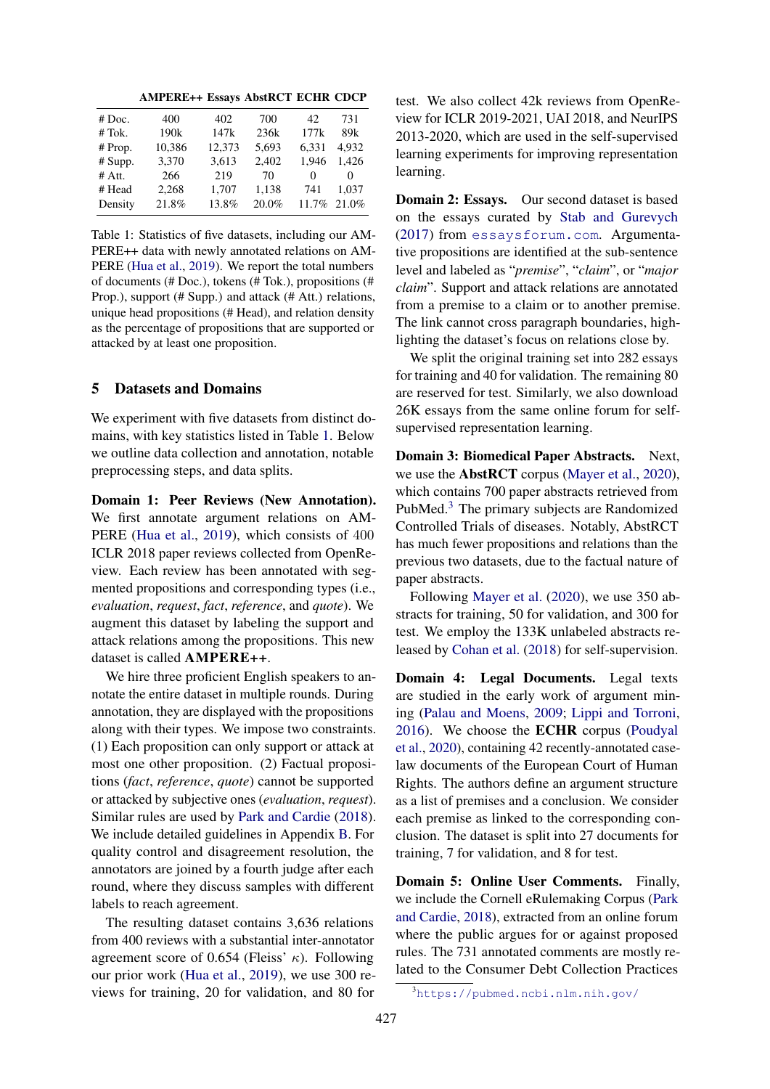AMPERE++ Essays AbstRCT ECHR CDCP

<span id="page-4-0"></span>

| # Doc.   | 400              | 402    | 700   | 42    | 731      |
|----------|------------------|--------|-------|-------|----------|
| # Tok.   | 190 <sub>k</sub> | 147k   | 236k  | 177k  | 89k      |
| # Prop.  | 10,386           | 12,373 | 5,693 | 6,331 | 4.932    |
| # Supp.  | 3,370            | 3,613  | 2,402 | 1.946 | 1.426    |
| $#$ Att. | 266              | 219    | 70    | 0     | $\theta$ |
| # Head   | 2,268            | 1,707  | 1,138 | 741   | 1.037    |
| Density  | 21.8%            | 13.8%  | 20.0% | 11.7% | 21.0%    |
|          |                  |        |       |       |          |

Table 1: Statistics of five datasets, including our AM-PERE++ data with newly annotated relations on AM-PERE [\(Hua et al.,](#page-10-12) [2019\)](#page-10-12). We report the total numbers of documents (# Doc.), tokens (# Tok.), propositions (# Prop.), support (# Supp.) and attack (# Att.) relations, unique head propositions (# Head), and relation density as the percentage of propositions that are supported or attacked by at least one proposition.

# <span id="page-4-2"></span>5 Datasets and Domains

We experiment with five datasets from distinct domains, with key statistics listed in Table [1.](#page-4-0) Below we outline data collection and annotation, notable preprocessing steps, and data splits.

Domain 1: Peer Reviews (New Annotation). We first annotate argument relations on AM-PERE [\(Hua et al.,](#page-10-12) [2019\)](#page-10-12), which consists of 400 ICLR 2018 paper reviews collected from OpenReview. Each review has been annotated with segmented propositions and corresponding types (i.e., *evaluation*, *request*, *fact*, *reference*, and *quote*). We augment this dataset by labeling the support and attack relations among the propositions. This new dataset is called AMPERE++.

We hire three proficient English speakers to annotate the entire dataset in multiple rounds. During annotation, they are displayed with the propositions along with their types. We impose two constraints. (1) Each proposition can only support or attack at most one other proposition. (2) Factual propositions (*fact*, *reference*, *quote*) cannot be supported or attacked by subjective ones (*evaluation*, *request*). Similar rules are used by [Park and Cardie](#page-11-8) [\(2018\)](#page-11-8). We include detailed guidelines in Appendix [B.](#page-12-1) For quality control and disagreement resolution, the annotators are joined by a fourth judge after each round, where they discuss samples with different labels to reach agreement.

The resulting dataset contains 3,636 relations from 400 reviews with a substantial inter-annotator agreement score of 0.654 (Fleiss'  $\kappa$ ). Following our prior work [\(Hua et al.,](#page-10-12) [2019\)](#page-10-12), we use 300 reviews for training, 20 for validation, and 80 for test. We also collect 42k reviews from OpenReview for ICLR 2019-2021, UAI 2018, and NeurIPS 2013-2020, which are used in the self-supervised learning experiments for improving representation learning.

Domain 2: Essays. Our second dataset is based on the essays curated by [Stab and Gurevych](#page-11-3) [\(2017\)](#page-11-3) from <essaysforum.com>. Argumentative propositions are identified at the sub-sentence level and labeled as "*premise*", "*claim*", or "*major claim*". Support and attack relations are annotated from a premise to a claim or to another premise. The link cannot cross paragraph boundaries, highlighting the dataset's focus on relations close by.

We split the original training set into 282 essays for training and 40 for validation. The remaining 80 are reserved for test. Similarly, we also download 26K essays from the same online forum for selfsupervised representation learning.

Domain 3: Biomedical Paper Abstracts. Next, we use the AbstRCT corpus [\(Mayer et al.,](#page-10-4) [2020\)](#page-10-4), which contains 700 paper abstracts retrieved from PubMed.[3](#page-4-1) The primary subjects are Randomized Controlled Trials of diseases. Notably, AbstRCT has much fewer propositions and relations than the previous two datasets, due to the factual nature of paper abstracts.

Following [Mayer et al.](#page-10-4) [\(2020\)](#page-10-4), we use 350 abstracts for training, 50 for validation, and 300 for test. We employ the 133K unlabeled abstracts released by [Cohan et al.](#page-9-16) [\(2018\)](#page-9-16) for self-supervision.

Domain 4: Legal Documents. Legal texts are studied in the early work of argument mining [\(Palau and Moens,](#page-10-2) [2009;](#page-10-2) [Lippi and Torroni,](#page-10-3) [2016\)](#page-10-3). We choose the ECHR corpus [\(Poudyal](#page-11-1) [et al.,](#page-11-1) [2020\)](#page-11-1), containing 42 recently-annotated caselaw documents of the European Court of Human Rights. The authors define an argument structure as a list of premises and a conclusion. We consider each premise as linked to the corresponding conclusion. The dataset is split into 27 documents for training, 7 for validation, and 8 for test.

Domain 5: Online User Comments. Finally, we include the Cornell eRulemaking Corpus [\(Park](#page-11-8) [and Cardie,](#page-11-8) [2018\)](#page-11-8), extracted from an online forum where the public argues for or against proposed rules. The 731 annotated comments are mostly related to the Consumer Debt Collection Practices

<span id="page-4-1"></span><sup>3</sup><https://pubmed.ncbi.nlm.nih.gov/>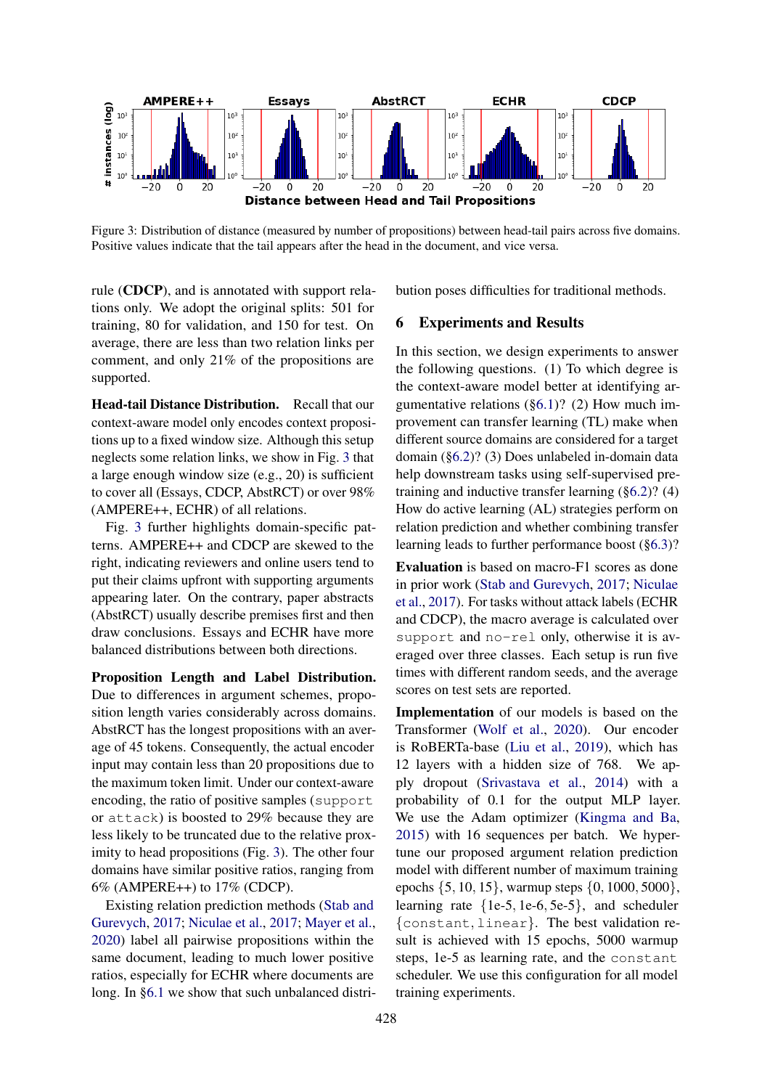<span id="page-5-0"></span>

Figure 3: Distribution of distance (measured by number of propositions) between head-tail pairs across five domains. Positive values indicate that the tail appears after the head in the document, and vice versa.

rule (CDCP), and is annotated with support relations only. We adopt the original splits: 501 for training, 80 for validation, and 150 for test. On average, there are less than two relation links per comment, and only 21% of the propositions are supported.

Head-tail Distance Distribution. Recall that our context-aware model only encodes context propositions up to a fixed window size. Although this setup neglects some relation links, we show in Fig. [3](#page-5-0) that a large enough window size (e.g., 20) is sufficient to cover all (Essays, CDCP, AbstRCT) or over 98% (AMPERE++, ECHR) of all relations.

Fig. [3](#page-5-0) further highlights domain-specific patterns. AMPERE++ and CDCP are skewed to the right, indicating reviewers and online users tend to put their claims upfront with supporting arguments appearing later. On the contrary, paper abstracts (AbstRCT) usually describe premises first and then draw conclusions. Essays and ECHR have more balanced distributions between both directions.

Proposition Length and Label Distribution. Due to differences in argument schemes, proposition length varies considerably across domains. AbstRCT has the longest propositions with an average of 45 tokens. Consequently, the actual encoder input may contain less than 20 propositions due to the maximum token limit. Under our context-aware encoding, the ratio of positive samples (support or attack) is boosted to 29% because they are less likely to be truncated due to the relative proximity to head propositions (Fig. [3\)](#page-5-0). The other four domains have similar positive ratios, ranging from 6% (AMPERE++) to 17% (CDCP).

Existing relation prediction methods [\(Stab and](#page-11-3) [Gurevych,](#page-11-3) [2017;](#page-11-3) [Niculae et al.,](#page-10-8) [2017;](#page-10-8) [Mayer et al.,](#page-10-4) [2020\)](#page-10-4) label all pairwise propositions within the same document, leading to much lower positive ratios, especially for ECHR where documents are long. In [§6.1](#page-6-0) we show that such unbalanced distribution poses difficulties for traditional methods.

#### 6 Experiments and Results

In this section, we design experiments to answer the following questions. (1) To which degree is the context-aware model better at identifying argumentative relations  $(\S6.1)$ ? (2) How much improvement can transfer learning (TL) make when different source domains are considered for a target domain ([§6.2\)](#page-6-1)? (3) Does unlabeled in-domain data help downstream tasks using self-supervised pretraining and inductive transfer learning ([§6.2\)](#page-6-1)? (4) How do active learning (AL) strategies perform on relation prediction and whether combining transfer learning leads to further performance boost ([§6.3\)](#page-7-0)?

Evaluation is based on macro-F1 scores as done in prior work [\(Stab and Gurevych,](#page-11-3) [2017;](#page-11-3) [Niculae](#page-10-8) [et al.,](#page-10-8) [2017\)](#page-10-8). For tasks without attack labels (ECHR and CDCP), the macro average is calculated over support and no-rel only, otherwise it is averaged over three classes. Each setup is run five times with different random seeds, and the average scores on test sets are reported.

Implementation of our models is based on the Transformer [\(Wolf et al.,](#page-11-18) [2020\)](#page-11-18). Our encoder is RoBERTa-base [\(Liu et al.,](#page-10-9) [2019\)](#page-10-9), which has 12 layers with a hidden size of 768. We apply dropout [\(Srivastava et al.,](#page-11-17) [2014\)](#page-11-17) with a probability of 0.1 for the output MLP layer. We use the Adam optimizer [\(Kingma and Ba,](#page-10-19) [2015\)](#page-10-19) with 16 sequences per batch. We hypertune our proposed argument relation prediction model with different number of maximum training epochs {5, 10, 15}, warmup steps {0, 1000, 5000}, learning rate {1e-5, 1e-6, 5e-5}, and scheduler {constant, linear}. The best validation result is achieved with 15 epochs, 5000 warmup steps, 1e-5 as learning rate, and the constant scheduler. We use this configuration for all model training experiments.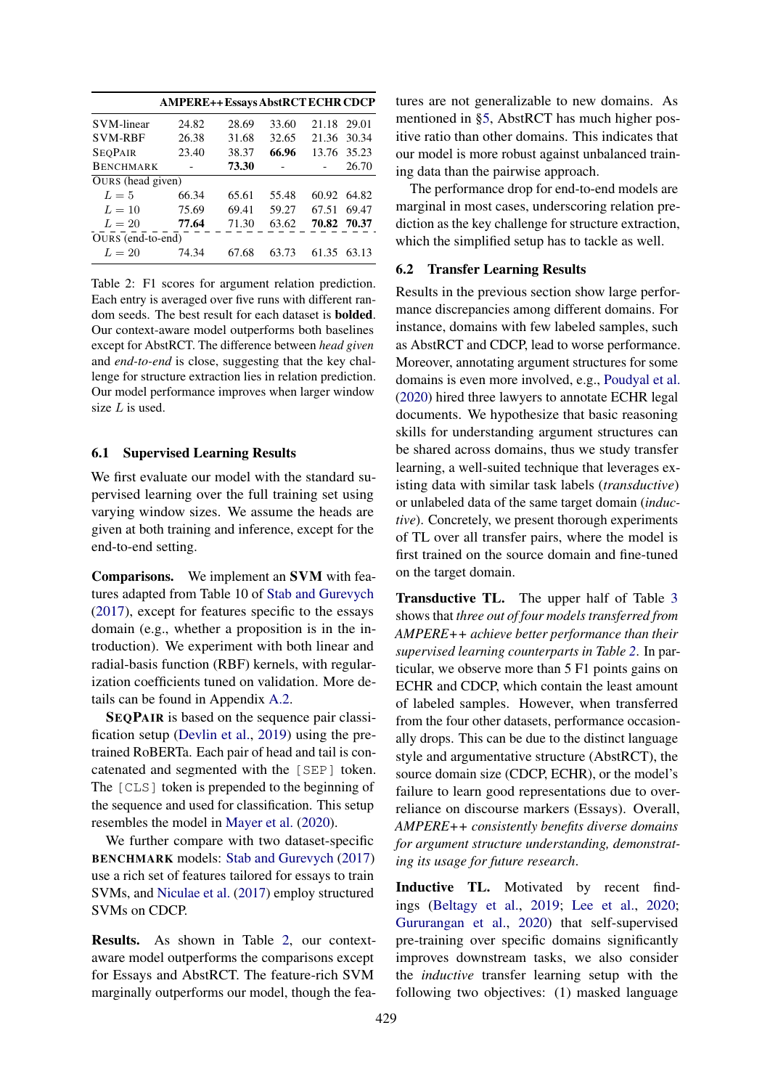<span id="page-6-2"></span>

|                   | <b>AMPERE++ Essays AbstRCT ECHR CDCP</b> |       |       |             |             |
|-------------------|------------------------------------------|-------|-------|-------------|-------------|
| <b>SVM-linear</b> | 24.82                                    | 28.69 | 33.60 | 21.18 29.01 |             |
| <b>SVM-RBF</b>    | 26.38                                    | 31.68 | 32.65 |             | 21.36 30.34 |
| <b>SEOPAIR</b>    | 23.40                                    | 38.37 | 66.96 |             | 13.76 35.23 |
| <b>BENCHMARK</b>  |                                          | 73.30 |       |             | 26.70       |
| OURS (head given) |                                          |       |       |             |             |
| $L=5$             | 66.34                                    | 65.61 | 55.48 | 60.92       | 64.82       |
| $L=10$            | 75.69                                    | 69.41 | 59.27 | 67.51       | 69.47       |
| $L=20$            | 77.64                                    | 71.30 | 63.62 | 70.82 70.37 |             |
| OURS (end-to-end) |                                          |       |       |             |             |
| $L=20$            | 74.34                                    | 67.68 | 63.73 | 61.35       | 63.13       |

Table 2: F1 scores for argument relation prediction. Each entry is averaged over five runs with different random seeds. The best result for each dataset is bolded. Our context-aware model outperforms both baselines except for AbstRCT. The difference between *head given* and *end-to-end* is close, suggesting that the key challenge for structure extraction lies in relation prediction. Our model performance improves when larger window size  $L$  is used.

#### <span id="page-6-0"></span>6.1 Supervised Learning Results

We first evaluate our model with the standard supervised learning over the full training set using varying window sizes. We assume the heads are given at both training and inference, except for the end-to-end setting.

Comparisons. We implement an SVM with features adapted from Table 10 of [Stab and Gurevych](#page-11-3) [\(2017\)](#page-11-3), except for features specific to the essays domain (e.g., whether a proposition is in the introduction). We experiment with both linear and radial-basis function (RBF) kernels, with regularization coefficients tuned on validation. More details can be found in Appendix [A.2.](#page-12-2)

SEQPAIR is based on the sequence pair classification setup [\(Devlin et al.,](#page-9-10) [2019\)](#page-9-10) using the pretrained RoBERTa. Each pair of head and tail is concatenated and segmented with the [SEP] token. The [CLS] token is prepended to the beginning of the sequence and used for classification. This setup resembles the model in [Mayer et al.](#page-10-4) [\(2020\)](#page-10-4).

We further compare with two dataset-specific BENCHMARK models: [Stab and Gurevych](#page-11-3) [\(2017\)](#page-11-3) use a rich set of features tailored for essays to train SVMs, and [Niculae et al.](#page-10-8) [\(2017\)](#page-10-8) employ structured SVMs on CDCP.

Results. As shown in Table [2,](#page-6-2) our contextaware model outperforms the comparisons except for Essays and AbstRCT. The feature-rich SVM marginally outperforms our model, though the features are not generalizable to new domains. As mentioned in [§5,](#page-4-2) AbstRCT has much higher positive ratio than other domains. This indicates that our model is more robust against unbalanced training data than the pairwise approach.

The performance drop for end-to-end models are marginal in most cases, underscoring relation prediction as the key challenge for structure extraction, which the simplified setup has to tackle as well.

### <span id="page-6-1"></span>6.2 Transfer Learning Results

Results in the previous section show large performance discrepancies among different domains. For instance, domains with few labeled samples, such as AbstRCT and CDCP, lead to worse performance. Moreover, annotating argument structures for some domains is even more involved, e.g., [Poudyal et al.](#page-11-1) [\(2020\)](#page-11-1) hired three lawyers to annotate ECHR legal documents. We hypothesize that basic reasoning skills for understanding argument structures can be shared across domains, thus we study transfer learning, a well-suited technique that leverages existing data with similar task labels (*transductive*) or unlabeled data of the same target domain (*inductive*). Concretely, we present thorough experiments of TL over all transfer pairs, where the model is first trained on the source domain and fine-tuned on the target domain.

Transductive TL. The upper half of Table [3](#page-7-1) shows that *three out of four models transferred from AMPERE++ achieve better performance than their supervised learning counterparts in Table [2](#page-6-2)*. In particular, we observe more than 5 F1 points gains on ECHR and CDCP, which contain the least amount of labeled samples. However, when transferred from the four other datasets, performance occasionally drops. This can be due to the distinct language style and argumentative structure (AbstRCT), the source domain size (CDCP, ECHR), or the model's failure to learn good representations due to overreliance on discourse markers (Essays). Overall, *AMPERE++ consistently benefits diverse domains for argument structure understanding, demonstrating its usage for future research*.

Inductive TL. Motivated by recent findings [\(Beltagy et al.,](#page-9-17) [2019;](#page-9-17) [Lee et al.,](#page-10-20) [2020;](#page-10-20) [Gururangan et al.,](#page-9-11) [2020\)](#page-9-11) that self-supervised pre-training over specific domains significantly improves downstream tasks, we also consider the *inductive* transfer learning setup with the following two objectives: (1) masked language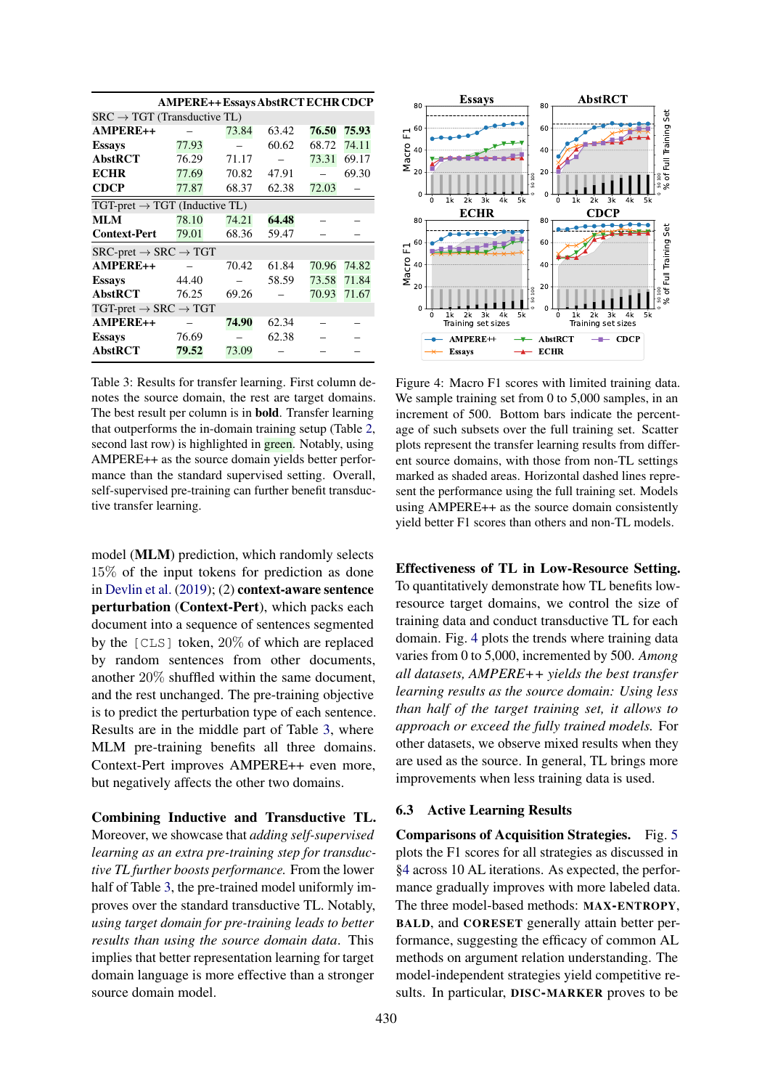<span id="page-7-1"></span>

|                                                          |                                                  | <b>AMPERE++ Essays AbstRCT ECHR CDCP</b> |       |       |       |
|----------------------------------------------------------|--------------------------------------------------|------------------------------------------|-------|-------|-------|
| $SRC \rightarrow TGT$ (Transductive TL)                  |                                                  |                                          |       |       |       |
| AMPERE++                                                 |                                                  | 73.84                                    | 63.42 | 76.50 | 75.93 |
| <b>Essays</b>                                            | 77.93                                            |                                          | 60.62 | 68.72 | 74.11 |
| <b>AbstRCT</b>                                           | 76.29                                            | 71.17                                    |       | 73.31 | 69.17 |
| <b>ECHR</b>                                              | 77.69                                            | 70.82                                    | 47.91 |       | 69.30 |
| <b>CDCP</b>                                              | 77.87                                            | 68.37                                    | 62.38 | 72.03 |       |
|                                                          | $TGT\text{-}pret \rightarrow TGT$ (Inductive TL) |                                          |       |       |       |
| MLM                                                      | 78.10                                            | 74.21                                    | 64.48 |       |       |
| <b>Context-Pert</b>                                      | 79.01                                            | 68.36                                    | 59.47 |       |       |
| $SRC\text{-}pret \rightarrow SRC \rightarrow TGT$        |                                                  |                                          |       |       |       |
| AMPERE++                                                 |                                                  | 70.42                                    | 61.84 | 70.96 | 74.82 |
| <b>Essays</b>                                            | 44.40                                            |                                          | 58.59 | 73.58 | 71.84 |
| <b>AbstRCT</b>                                           | 76.25                                            | 69.26                                    |       | 70.93 | 71.67 |
| $TGT\text{-}pret \rightarrow \text{SRC} \rightarrow TGT$ |                                                  |                                          |       |       |       |
| AMPERE++                                                 |                                                  | 74.90                                    | 62.34 |       |       |
| <b>Essays</b>                                            | 76.69                                            |                                          | 62.38 |       |       |
| <b>AbstRCT</b>                                           | 79.52                                            | 73.09                                    |       |       |       |

Table 3: Results for transfer learning. First column denotes the source domain, the rest are target domains. The best result per column is in bold. Transfer learning that outperforms the in-domain training setup (Table [2,](#page-6-2) second last row) is highlighted in **green**. Notably, using AMPERE++ as the source domain yields better performance than the standard supervised setting. Overall, self-supervised pre-training can further benefit transductive transfer learning.

model (MLM) prediction, which randomly selects 15% of the input tokens for prediction as done in [Devlin et al.](#page-9-10) [\(2019\)](#page-9-10); (2) context-aware sentence perturbation (Context-Pert), which packs each document into a sequence of sentences segmented by the [CLS] token, 20% of which are replaced by random sentences from other documents, another 20% shuffled within the same document, and the rest unchanged. The pre-training objective is to predict the perturbation type of each sentence. Results are in the middle part of Table [3,](#page-7-1) where MLM pre-training benefits all three domains. Context-Pert improves AMPERE++ even more, but negatively affects the other two domains.

Combining Inductive and Transductive TL. Moreover, we showcase that *adding self-supervised learning as an extra pre-training step for transductive TL further boosts performance.* From the lower half of Table [3,](#page-7-1) the pre-trained model uniformly improves over the standard transductive TL. Notably, *using target domain for pre-training leads to better results than using the source domain data*. This implies that better representation learning for target domain language is more effective than a stronger source domain model.

<span id="page-7-2"></span>

Figure 4: Macro F1 scores with limited training data. We sample training set from 0 to 5,000 samples, in an increment of 500. Bottom bars indicate the percentage of such subsets over the full training set. Scatter plots represent the transfer learning results from different source domains, with those from non-TL settings marked as shaded areas. Horizontal dashed lines represent the performance using the full training set. Models using AMPERE++ as the source domain consistently yield better F1 scores than others and non-TL models.

Effectiveness of TL in Low-Resource Setting. To quantitatively demonstrate how TL benefits lowresource target domains, we control the size of training data and conduct transductive TL for each domain. Fig. [4](#page-7-2) plots the trends where training data varies from 0 to 5,000, incremented by 500. *Among all datasets, AMPERE++ yields the best transfer learning results as the source domain: Using less than half of the target training set, it allows to approach or exceed the fully trained models.* For other datasets, we observe mixed results when they are used as the source. In general, TL brings more improvements when less training data is used.

#### <span id="page-7-0"></span>6.3 Active Learning Results

Comparisons of Acquisition Strategies. Fig. [5](#page-8-0) plots the F1 scores for all strategies as discussed in [§4](#page-3-2) across 10 AL iterations. As expected, the performance gradually improves with more labeled data. The three model-based methods: MAX-ENTROPY, BALD, and CORESET generally attain better performance, suggesting the efficacy of common AL methods on argument relation understanding. The model-independent strategies yield competitive results. In particular, DISC-MARKER proves to be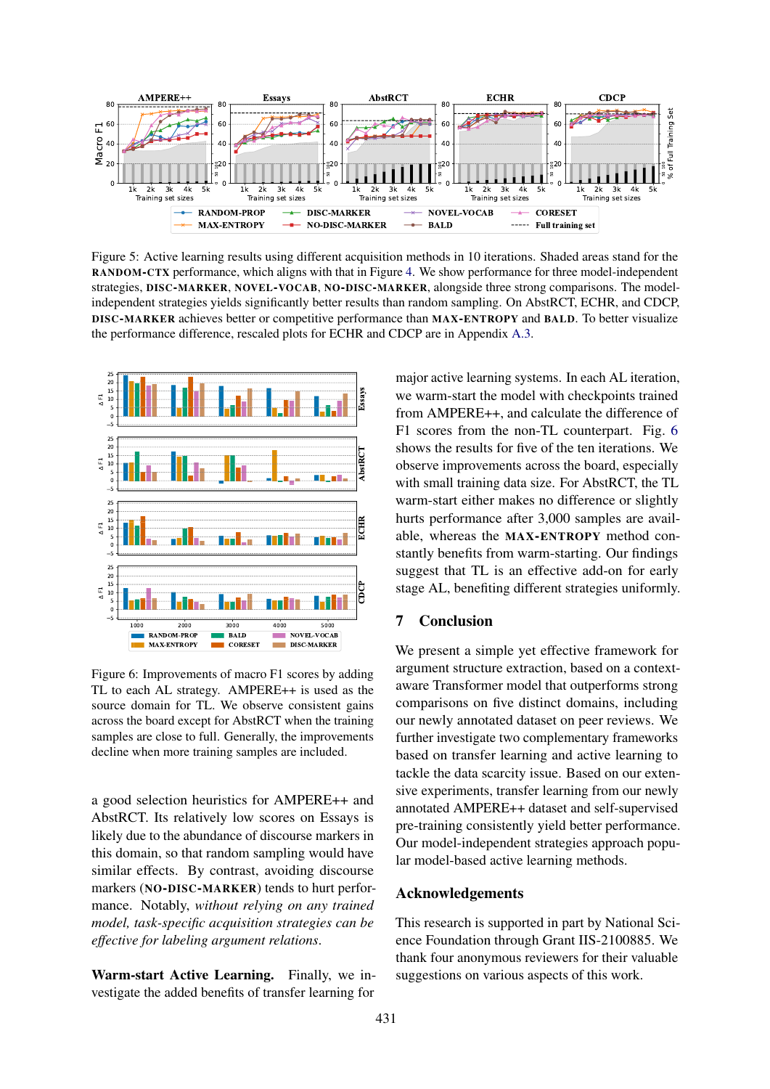<span id="page-8-0"></span>

Figure 5: Active learning results using different acquisition methods in 10 iterations. Shaded areas stand for the RANDOM-CTX performance, which aligns with that in Figure [4.](#page-7-2) We show performance for three model-independent strategies, DISC-MARKER, NOVEL-VOCAB, NO-DISC-MARKER, alongside three strong comparisons. The modelindependent strategies yields significantly better results than random sampling. On AbstRCT, ECHR, and CDCP, DISC-MARKER achieves better or competitive performance than MAX-ENTROPY and BALD. To better visualize the performance difference, rescaled plots for ECHR and CDCP are in Appendix [A.3.](#page-12-3)

<span id="page-8-1"></span>

Figure 6: Improvements of macro F1 scores by adding TL to each AL strategy. AMPERE++ is used as the source domain for TL. We observe consistent gains across the board except for AbstRCT when the training samples are close to full. Generally, the improvements decline when more training samples are included.

a good selection heuristics for AMPERE++ and AbstRCT. Its relatively low scores on Essays is likely due to the abundance of discourse markers in this domain, so that random sampling would have similar effects. By contrast, avoiding discourse markers (NO-DISC-MARKER) tends to hurt performance. Notably, *without relying on any trained model, task-specific acquisition strategies can be effective for labeling argument relations*.

Warm-start Active Learning. Finally, we investigate the added benefits of transfer learning for major active learning systems. In each AL iteration, we warm-start the model with checkpoints trained from AMPERE++, and calculate the difference of F1 scores from the non-TL counterpart. Fig. [6](#page-8-1) shows the results for five of the ten iterations. We observe improvements across the board, especially with small training data size. For AbstRCT, the TL warm-start either makes no difference or slightly hurts performance after 3,000 samples are available, whereas the MAX-ENTROPY method constantly benefits from warm-starting. Our findings suggest that TL is an effective add-on for early stage AL, benefiting different strategies uniformly.

# 7 Conclusion

We present a simple yet effective framework for argument structure extraction, based on a contextaware Transformer model that outperforms strong comparisons on five distinct domains, including our newly annotated dataset on peer reviews. We further investigate two complementary frameworks based on transfer learning and active learning to tackle the data scarcity issue. Based on our extensive experiments, transfer learning from our newly annotated AMPERE++ dataset and self-supervised pre-training consistently yield better performance. Our model-independent strategies approach popular model-based active learning methods.

#### Acknowledgements

This research is supported in part by National Science Foundation through Grant IIS-2100885. We thank four anonymous reviewers for their valuable suggestions on various aspects of this work.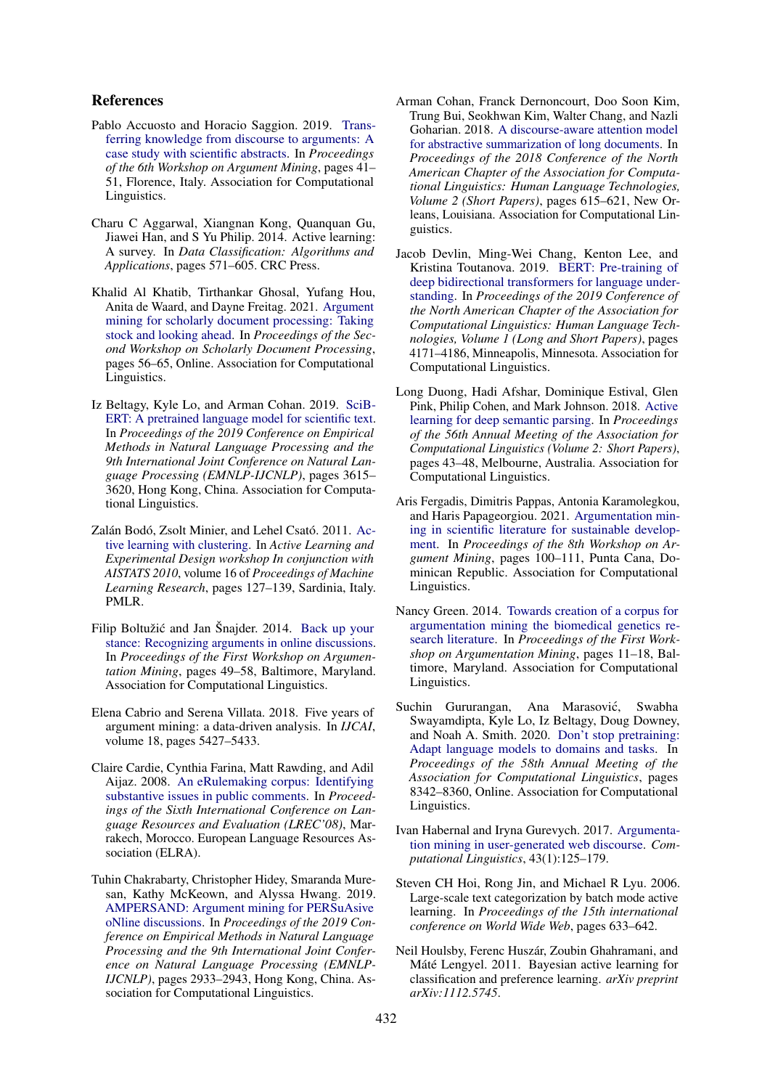### References

- <span id="page-9-9"></span>Pablo Accuosto and Horacio Saggion. 2019. [Trans](https://doi.org/10.18653/v1/W19-4505)[ferring knowledge from discourse to arguments: A](https://doi.org/10.18653/v1/W19-4505) [case study with scientific abstracts.](https://doi.org/10.18653/v1/W19-4505) In *Proceedings of the 6th Workshop on Argument Mining*, pages 41– 51, Florence, Italy. Association for Computational Linguistics.
- <span id="page-9-14"></span>Charu C Aggarwal, Xiangnan Kong, Quanquan Gu, Jiawei Han, and S Yu Philip. 2014. Active learning: A survey. In *Data Classification: Algorithms and Applications*, pages 571–605. CRC Press.
- <span id="page-9-2"></span>Khalid Al Khatib, Tirthankar Ghosal, Yufang Hou, Anita de Waard, and Dayne Freitag. 2021. [Argument](https://doi.org/10.18653/v1/2021.sdp-1.7) [mining for scholarly document processing: Taking](https://doi.org/10.18653/v1/2021.sdp-1.7) [stock and looking ahead.](https://doi.org/10.18653/v1/2021.sdp-1.7) In *Proceedings of the Second Workshop on Scholarly Document Processing*, pages 56–65, Online. Association for Computational Linguistics.
- <span id="page-9-17"></span>Iz Beltagy, Kyle Lo, and Arman Cohan. 2019. [SciB-](https://doi.org/10.18653/v1/D19-1371)[ERT: A pretrained language model for scientific text.](https://doi.org/10.18653/v1/D19-1371) In *Proceedings of the 2019 Conference on Empirical Methods in Natural Language Processing and the 9th International Joint Conference on Natural Language Processing (EMNLP-IJCNLP)*, pages 3615– 3620, Hong Kong, China. Association for Computational Linguistics.
- <span id="page-9-15"></span>Zalán Bodó, Zsolt Minier, and Lehel Csató. 2011. [Ac](https://proceedings.mlr.press/v16/bodo11a.html)[tive learning with clustering.](https://proceedings.mlr.press/v16/bodo11a.html) In *Active Learning and Experimental Design workshop In conjunction with AISTATS 2010*, volume 16 of *Proceedings of Machine Learning Research*, pages 127–139, Sardinia, Italy. PMLR.
- <span id="page-9-4"></span>Filip Boltužić and Jan Šnajder. 2014. [Back up your](https://doi.org/10.3115/v1/W14-2107) [stance: Recognizing arguments in online discussions.](https://doi.org/10.3115/v1/W14-2107) In *Proceedings of the First Workshop on Argumentation Mining*, pages 49–58, Baltimore, Maryland. Association for Computational Linguistics.
- <span id="page-9-0"></span>Elena Cabrio and Serena Villata. 2018. Five years of argument mining: a data-driven analysis. In *IJCAI*, volume 18, pages 5427–5433.
- <span id="page-9-3"></span>Claire Cardie, Cynthia Farina, Matt Rawding, and Adil Aijaz. 2008. [An eRulemaking corpus: Identifying](http://www.lrec-conf.org/proceedings/lrec2008/pdf/699_paper.pdf) [substantive issues in public comments.](http://www.lrec-conf.org/proceedings/lrec2008/pdf/699_paper.pdf) In *Proceedings of the Sixth International Conference on Language Resources and Evaluation (LREC'08)*, Marrakech, Morocco. European Language Resources Association (ELRA).
- <span id="page-9-8"></span>Tuhin Chakrabarty, Christopher Hidey, Smaranda Muresan, Kathy McKeown, and Alyssa Hwang. 2019. [AMPERSAND: Argument mining for PERSuAsive](https://doi.org/10.18653/v1/D19-1291) [oNline discussions.](https://doi.org/10.18653/v1/D19-1291) In *Proceedings of the 2019 Conference on Empirical Methods in Natural Language Processing and the 9th International Joint Conference on Natural Language Processing (EMNLP-IJCNLP)*, pages 2933–2943, Hong Kong, China. Association for Computational Linguistics.
- <span id="page-9-16"></span>Arman Cohan, Franck Dernoncourt, Doo Soon Kim, Trung Bui, Seokhwan Kim, Walter Chang, and Nazli Goharian. 2018. [A discourse-aware attention model](https://doi.org/10.18653/v1/N18-2097) [for abstractive summarization of long documents.](https://doi.org/10.18653/v1/N18-2097) In *Proceedings of the 2018 Conference of the North American Chapter of the Association for Computational Linguistics: Human Language Technologies, Volume 2 (Short Papers)*, pages 615–621, New Orleans, Louisiana. Association for Computational Linguistics.
- <span id="page-9-10"></span>Jacob Devlin, Ming-Wei Chang, Kenton Lee, and Kristina Toutanova. 2019. [BERT: Pre-training of](https://doi.org/10.18653/v1/N19-1423) [deep bidirectional transformers for language under](https://doi.org/10.18653/v1/N19-1423)[standing.](https://doi.org/10.18653/v1/N19-1423) In *Proceedings of the 2019 Conference of the North American Chapter of the Association for Computational Linguistics: Human Language Technologies, Volume 1 (Long and Short Papers)*, pages 4171–4186, Minneapolis, Minnesota. Association for Computational Linguistics.
- <span id="page-9-13"></span>Long Duong, Hadi Afshar, Dominique Estival, Glen Pink, Philip Cohen, and Mark Johnson. 2018. [Active](https://doi.org/10.18653/v1/P18-2008) [learning for deep semantic parsing.](https://doi.org/10.18653/v1/P18-2008) In *Proceedings of the 56th Annual Meeting of the Association for Computational Linguistics (Volume 2: Short Papers)*, pages 43–48, Melbourne, Australia. Association for Computational Linguistics.
- <span id="page-9-1"></span>Aris Fergadis, Dimitris Pappas, Antonia Karamolegkou, and Haris Papageorgiou. 2021. [Argumentation min](https://doi.org/10.18653/v1/2021.argmining-1.10)[ing in scientific literature for sustainable develop](https://doi.org/10.18653/v1/2021.argmining-1.10)[ment.](https://doi.org/10.18653/v1/2021.argmining-1.10) In *Proceedings of the 8th Workshop on Argument Mining*, pages 100–111, Punta Cana, Dominican Republic. Association for Computational Linguistics.
- <span id="page-9-6"></span>Nancy Green. 2014. [Towards creation of a corpus for](https://doi.org/10.3115/v1/W14-2102) [argumentation mining the biomedical genetics re](https://doi.org/10.3115/v1/W14-2102)[search literature.](https://doi.org/10.3115/v1/W14-2102) In *Proceedings of the First Workshop on Argumentation Mining*, pages 11–18, Baltimore, Maryland. Association for Computational Linguistics.
- <span id="page-9-11"></span>Suchin Gururangan, Ana Marasović, Swabha Swayamdipta, Kyle Lo, Iz Beltagy, Doug Downey, and Noah A. Smith. 2020. [Don't stop pretraining:](https://doi.org/10.18653/v1/2020.acl-main.740) [Adapt language models to domains and tasks.](https://doi.org/10.18653/v1/2020.acl-main.740) In *Proceedings of the 58th Annual Meeting of the Association for Computational Linguistics*, pages 8342–8360, Online. Association for Computational Linguistics.
- <span id="page-9-5"></span>Ivan Habernal and Iryna Gurevych. 2017. [Argumenta](https://doi.org/10.1162/COLI_a_00276)[tion mining in user-generated web discourse.](https://doi.org/10.1162/COLI_a_00276) *Computational Linguistics*, 43(1):125–179.
- <span id="page-9-12"></span>Steven CH Hoi, Rong Jin, and Michael R Lyu. 2006. Large-scale text categorization by batch mode active learning. In *Proceedings of the 15th international conference on World Wide Web*, pages 633–642.
- <span id="page-9-7"></span>Neil Houlsby, Ferenc Huszár, Zoubin Ghahramani, and Máté Lengyel. 2011. Bayesian active learning for classification and preference learning. *arXiv preprint arXiv:1112.5745*.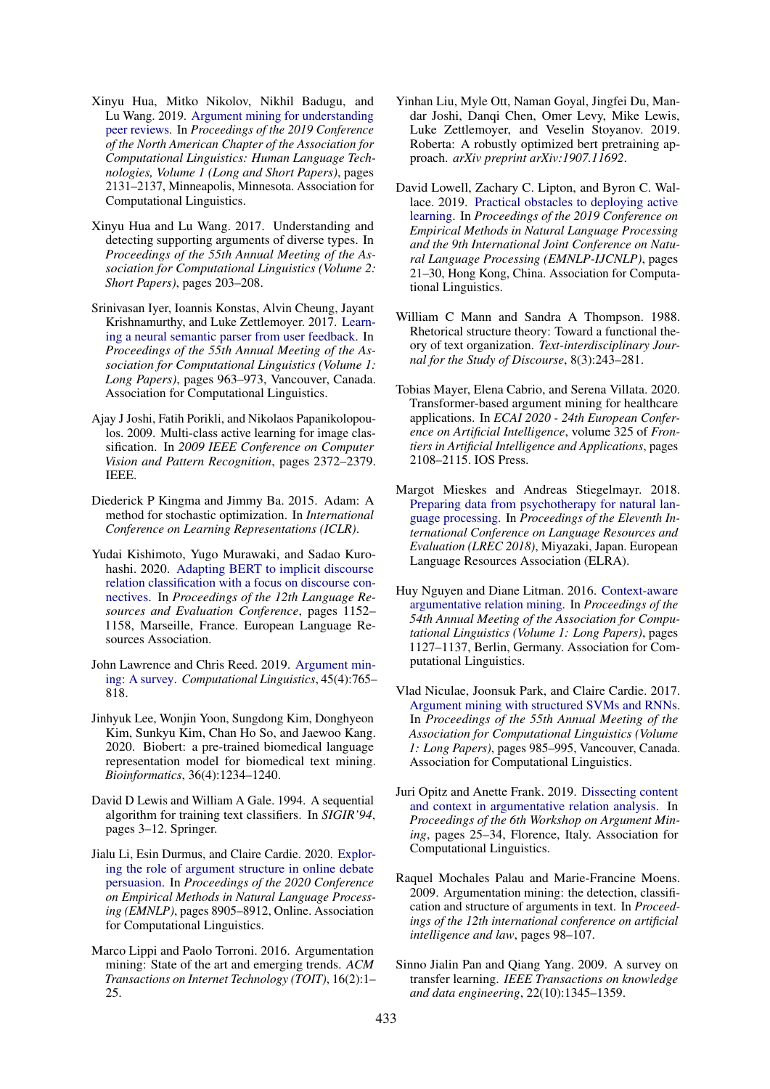- <span id="page-10-12"></span>Xinyu Hua, Mitko Nikolov, Nikhil Badugu, and Lu Wang. 2019. [Argument mining for understanding](https://doi.org/10.18653/v1/N19-1219) [peer reviews.](https://doi.org/10.18653/v1/N19-1219) In *Proceedings of the 2019 Conference of the North American Chapter of the Association for Computational Linguistics: Human Language Technologies, Volume 1 (Long and Short Papers)*, pages 2131–2137, Minneapolis, Minnesota. Association for Computational Linguistics.
- <span id="page-10-5"></span>Xinyu Hua and Lu Wang. 2017. Understanding and detecting supporting arguments of diverse types. In *Proceedings of the 55th Annual Meeting of the Association for Computational Linguistics (Volume 2: Short Papers)*, pages 203–208.
- <span id="page-10-17"></span>Srinivasan Iyer, Ioannis Konstas, Alvin Cheung, Jayant Krishnamurthy, and Luke Zettlemoyer. 2017. [Learn](https://doi.org/10.18653/v1/P17-1089)[ing a neural semantic parser from user feedback.](https://doi.org/10.18653/v1/P17-1089) In *Proceedings of the 55th Annual Meeting of the Association for Computational Linguistics (Volume 1: Long Papers)*, pages 963–973, Vancouver, Canada. Association for Computational Linguistics.
- <span id="page-10-18"></span>Ajay J Joshi, Fatih Porikli, and Nikolaos Papanikolopoulos. 2009. Multi-class active learning for image classification. In *2009 IEEE Conference on Computer Vision and Pattern Recognition*, pages 2372–2379. IEEE.
- <span id="page-10-19"></span>Diederick P Kingma and Jimmy Ba. 2015. Adam: A method for stochastic optimization. In *International Conference on Learning Representations (ICLR)*.
- <span id="page-10-16"></span>Yudai Kishimoto, Yugo Murawaki, and Sadao Kurohashi. 2020. [Adapting BERT to implicit discourse](https://www.aclweb.org/anthology/2020.lrec-1.145) [relation classification with a focus on discourse con](https://www.aclweb.org/anthology/2020.lrec-1.145)[nectives.](https://www.aclweb.org/anthology/2020.lrec-1.145) In *Proceedings of the 12th Language Resources and Evaluation Conference*, pages 1152– 1158, Marseille, France. European Language Resources Association.
- <span id="page-10-0"></span>John Lawrence and Chris Reed. 2019. [Argument min](https://doi.org/10.1162/coli_a_00364)[ing: A survey.](https://doi.org/10.1162/coli_a_00364) *Computational Linguistics*, 45(4):765– 818.
- <span id="page-10-20"></span>Jinhyuk Lee, Wonjin Yoon, Sungdong Kim, Donghyeon Kim, Sunkyu Kim, Chan Ho So, and Jaewoo Kang. 2020. Biobert: a pre-trained biomedical language representation model for biomedical text mining. *Bioinformatics*, 36(4):1234–1240.
- <span id="page-10-11"></span>David D Lewis and William A Gale. 1994. A sequential algorithm for training text classifiers. In *SIGIR'94*, pages 3–12. Springer.
- <span id="page-10-1"></span>Jialu Li, Esin Durmus, and Claire Cardie. 2020. [Explor](https://doi.org/10.18653/v1/2020.emnlp-main.716)[ing the role of argument structure in online debate](https://doi.org/10.18653/v1/2020.emnlp-main.716) [persuasion.](https://doi.org/10.18653/v1/2020.emnlp-main.716) In *Proceedings of the 2020 Conference on Empirical Methods in Natural Language Processing (EMNLP)*, pages 8905–8912, Online. Association for Computational Linguistics.
- <span id="page-10-3"></span>Marco Lippi and Paolo Torroni. 2016. Argumentation mining: State of the art and emerging trends. *ACM Transactions on Internet Technology (TOIT)*, 16(2):1– 25.
- <span id="page-10-9"></span>Yinhan Liu, Myle Ott, Naman Goyal, Jingfei Du, Mandar Joshi, Danqi Chen, Omer Levy, Mike Lewis, Luke Zettlemoyer, and Veselin Stoyanov. 2019. Roberta: A robustly optimized bert pretraining approach. *arXiv preprint arXiv:1907.11692*.
- <span id="page-10-10"></span>David Lowell, Zachary C. Lipton, and Byron C. Wallace. 2019. [Practical obstacles to deploying active](https://doi.org/10.18653/v1/D19-1003) [learning.](https://doi.org/10.18653/v1/D19-1003) In *Proceedings of the 2019 Conference on Empirical Methods in Natural Language Processing and the 9th International Joint Conference on Natural Language Processing (EMNLP-IJCNLP)*, pages 21–30, Hong Kong, China. Association for Computational Linguistics.
- <span id="page-10-13"></span>William C Mann and Sandra A Thompson. 1988. Rhetorical structure theory: Toward a functional theory of text organization. *Text-interdisciplinary Journal for the Study of Discourse*, 8(3):243–281.
- <span id="page-10-4"></span>Tobias Mayer, Elena Cabrio, and Serena Villata. 2020. Transformer-based argument mining for healthcare applications. In *ECAI 2020 - 24th European Conference on Artificial Intelligence*, volume 325 of *Frontiers in Artificial Intelligence and Applications*, pages 2108–2115. IOS Press.
- <span id="page-10-14"></span>Margot Mieskes and Andreas Stiegelmayr. 2018. [Preparing data from psychotherapy for natural lan](https://aclanthology.org/L18-1458)[guage processing.](https://aclanthology.org/L18-1458) In *Proceedings of the Eleventh International Conference on Language Resources and Evaluation (LREC 2018)*, Miyazaki, Japan. European Language Resources Association (ELRA).
- <span id="page-10-6"></span>Huy Nguyen and Diane Litman. 2016. [Context-aware](https://doi.org/10.18653/v1/P16-1107) [argumentative relation mining.](https://doi.org/10.18653/v1/P16-1107) In *Proceedings of the 54th Annual Meeting of the Association for Computational Linguistics (Volume 1: Long Papers)*, pages 1127–1137, Berlin, Germany. Association for Computational Linguistics.
- <span id="page-10-8"></span>Vlad Niculae, Joonsuk Park, and Claire Cardie. 2017. [Argument mining with structured SVMs and RNNs.](https://doi.org/10.18653/v1/P17-1091) In *Proceedings of the 55th Annual Meeting of the Association for Computational Linguistics (Volume 1: Long Papers)*, pages 985–995, Vancouver, Canada. Association for Computational Linguistics.
- <span id="page-10-7"></span>Juri Opitz and Anette Frank. 2019. [Dissecting content](https://doi.org/10.18653/v1/W19-4503) [and context in argumentative relation analysis.](https://doi.org/10.18653/v1/W19-4503) In *Proceedings of the 6th Workshop on Argument Mining*, pages 25–34, Florence, Italy. Association for Computational Linguistics.
- <span id="page-10-2"></span>Raquel Mochales Palau and Marie-Francine Moens. 2009. Argumentation mining: the detection, classification and structure of arguments in text. In *Proceedings of the 12th international conference on artificial intelligence and law*, pages 98–107.
- <span id="page-10-15"></span>Sinno Jialin Pan and Qiang Yang. 2009. A survey on transfer learning. *IEEE Transactions on knowledge and data engineering*, 22(10):1345–1359.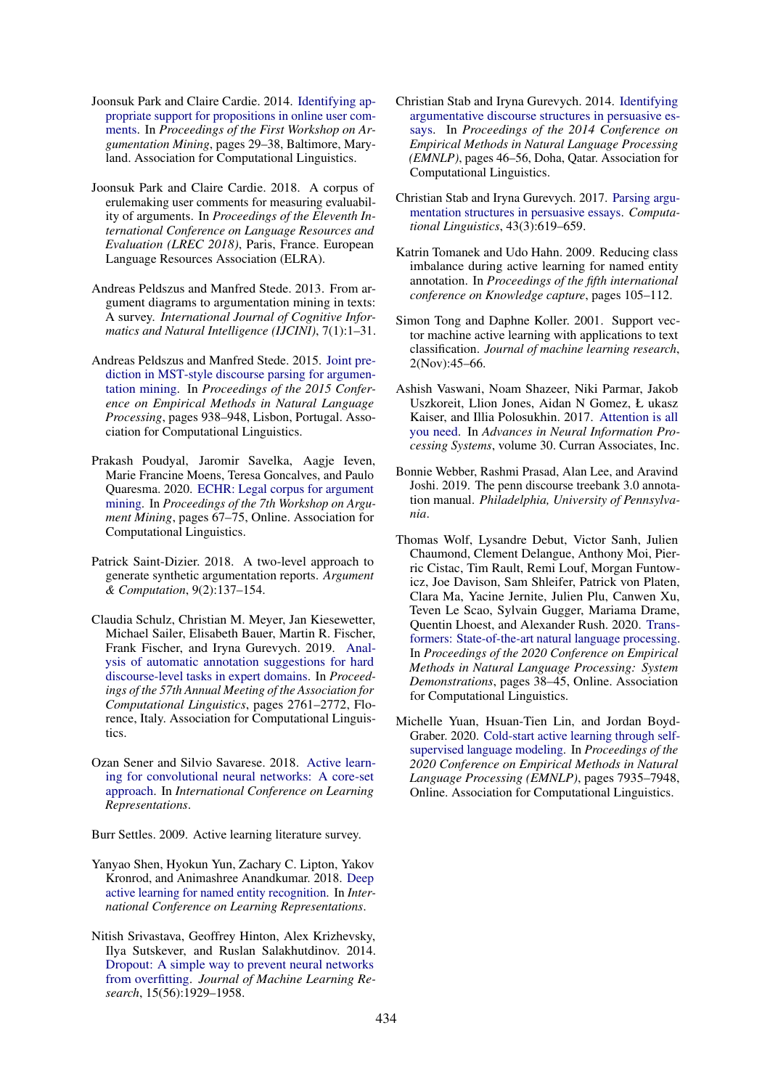- <span id="page-11-2"></span>Joonsuk Park and Claire Cardie. 2014. [Identifying ap](https://doi.org/10.3115/v1/W14-2105)[propriate support for propositions in online user com](https://doi.org/10.3115/v1/W14-2105)[ments.](https://doi.org/10.3115/v1/W14-2105) In *Proceedings of the First Workshop on Argumentation Mining*, pages 29–38, Baltimore, Maryland. Association for Computational Linguistics.
- <span id="page-11-8"></span>Joonsuk Park and Claire Cardie. 2018. A corpus of erulemaking user comments for measuring evaluability of arguments. In *Proceedings of the Eleventh International Conference on Language Resources and Evaluation (LREC 2018)*, Paris, France. European Language Resources Association (ELRA).
- <span id="page-11-0"></span>Andreas Peldszus and Manfred Stede. 2013. From argument diagrams to argumentation mining in texts: A survey. *International Journal of Cognitive Informatics and Natural Intelligence (IJCINI)*, 7(1):1–31.
- <span id="page-11-9"></span>Andreas Peldszus and Manfred Stede. 2015. [Joint pre](https://doi.org/10.18653/v1/D15-1110)[diction in MST-style discourse parsing for argumen](https://doi.org/10.18653/v1/D15-1110)[tation mining.](https://doi.org/10.18653/v1/D15-1110) In *Proceedings of the 2015 Conference on Empirical Methods in Natural Language Processing*, pages 938–948, Lisbon, Portugal. Association for Computational Linguistics.
- <span id="page-11-1"></span>Prakash Poudyal, Jaromir Savelka, Aagje Ieven, Marie Francine Moens, Teresa Goncalves, and Paulo Quaresma. 2020. [ECHR: Legal corpus for argument](https://www.aclweb.org/anthology/2020.argmining-1.8) [mining.](https://www.aclweb.org/anthology/2020.argmining-1.8) In *Proceedings of the 7th Workshop on Argument Mining*, pages 67–75, Online. Association for Computational Linguistics.
- <span id="page-11-5"></span>Patrick Saint-Dizier. 2018. A two-level approach to generate synthetic argumentation reports. *Argument & Computation*, 9(2):137–154.
- <span id="page-11-12"></span>Claudia Schulz, Christian M. Meyer, Jan Kiesewetter, Michael Sailer, Elisabeth Bauer, Martin R. Fischer, Frank Fischer, and Iryna Gurevych. 2019. [Anal](https://doi.org/10.18653/v1/P19-1265)[ysis of automatic annotation suggestions for hard](https://doi.org/10.18653/v1/P19-1265) [discourse-level tasks in expert domains.](https://doi.org/10.18653/v1/P19-1265) In *Proceedings of the 57th Annual Meeting of the Association for Computational Linguistics*, pages 2761–2772, Florence, Italy. Association for Computational Linguistics.
- <span id="page-11-7"></span>Ozan Sener and Silvio Savarese. 2018. [Active learn](https://openreview.net/forum?id=H1aIuk-RW)[ing for convolutional neural networks: A core-set](https://openreview.net/forum?id=H1aIuk-RW) [approach.](https://openreview.net/forum?id=H1aIuk-RW) In *International Conference on Learning Representations*.

<span id="page-11-6"></span>Burr Settles. 2009. Active learning literature survey.

- <span id="page-11-14"></span>Yanyao Shen, Hyokun Yun, Zachary C. Lipton, Yakov Kronrod, and Animashree Anandkumar. 2018. [Deep](https://openreview.net/forum?id=ry018WZAZ) [active learning for named entity recognition.](https://openreview.net/forum?id=ry018WZAZ) In *International Conference on Learning Representations*.
- <span id="page-11-17"></span>Nitish Srivastava, Geoffrey Hinton, Alex Krizhevsky, Ilya Sutskever, and Ruslan Salakhutdinov. 2014. [Dropout: A simple way to prevent neural networks](http://jmlr.org/papers/v15/srivastava14a.html) [from overfitting.](http://jmlr.org/papers/v15/srivastava14a.html) *Journal of Machine Learning Research*, 15(56):1929–1958.
- <span id="page-11-11"></span>Christian Stab and Iryna Gurevych. 2014. [Identifying](https://doi.org/10.3115/v1/D14-1006) [argumentative discourse structures in persuasive es](https://doi.org/10.3115/v1/D14-1006)[says.](https://doi.org/10.3115/v1/D14-1006) In *Proceedings of the 2014 Conference on Empirical Methods in Natural Language Processing (EMNLP)*, pages 46–56, Doha, Qatar. Association for Computational Linguistics.
- <span id="page-11-3"></span>Christian Stab and Iryna Gurevych. 2017. [Parsing argu](https://doi.org/10.1162/COLI_a_00295)[mentation structures in persuasive essays.](https://doi.org/10.1162/COLI_a_00295) *Computational Linguistics*, 43(3):619–659.
- <span id="page-11-13"></span>Katrin Tomanek and Udo Hahn. 2009. Reducing class imbalance during active learning for named entity annotation. In *Proceedings of the fifth international conference on Knowledge capture*, pages 105–112.
- <span id="page-11-15"></span>Simon Tong and Daphne Koller. 2001. Support vector machine active learning with applications to text classification. *Journal of machine learning research*, 2(Nov):45–66.
- <span id="page-11-4"></span>Ashish Vaswani, Noam Shazeer, Niki Parmar, Jakob Uszkoreit, Llion Jones, Aidan N Gomez, Ł ukasz Kaiser, and Illia Polosukhin. 2017. [Attention is all](https://proceedings.neurips.cc/paper/2017/file/3f5ee243547dee91fbd053c1c4a845aa-Paper.pdf) [you need.](https://proceedings.neurips.cc/paper/2017/file/3f5ee243547dee91fbd053c1c4a845aa-Paper.pdf) In *Advances in Neural Information Processing Systems*, volume 30. Curran Associates, Inc.
- <span id="page-11-10"></span>Bonnie Webber, Rashmi Prasad, Alan Lee, and Aravind Joshi. 2019. The penn discourse treebank 3.0 annotation manual. *Philadelphia, University of Pennsylvania*.
- <span id="page-11-18"></span>Thomas Wolf, Lysandre Debut, Victor Sanh, Julien Chaumond, Clement Delangue, Anthony Moi, Pierric Cistac, Tim Rault, Remi Louf, Morgan Funtowicz, Joe Davison, Sam Shleifer, Patrick von Platen, Clara Ma, Yacine Jernite, Julien Plu, Canwen Xu, Teven Le Scao, Sylvain Gugger, Mariama Drame, Quentin Lhoest, and Alexander Rush. 2020. [Trans](https://doi.org/10.18653/v1/2020.emnlp-demos.6)[formers: State-of-the-art natural language processing.](https://doi.org/10.18653/v1/2020.emnlp-demos.6) In *Proceedings of the 2020 Conference on Empirical Methods in Natural Language Processing: System Demonstrations*, pages 38–45, Online. Association for Computational Linguistics.
- <span id="page-11-16"></span>Michelle Yuan, Hsuan-Tien Lin, and Jordan Boyd-Graber. 2020. [Cold-start active learning through self](https://doi.org/10.18653/v1/2020.emnlp-main.637)[supervised language modeling.](https://doi.org/10.18653/v1/2020.emnlp-main.637) In *Proceedings of the 2020 Conference on Empirical Methods in Natural Language Processing (EMNLP)*, pages 7935–7948, Online. Association for Computational Linguistics.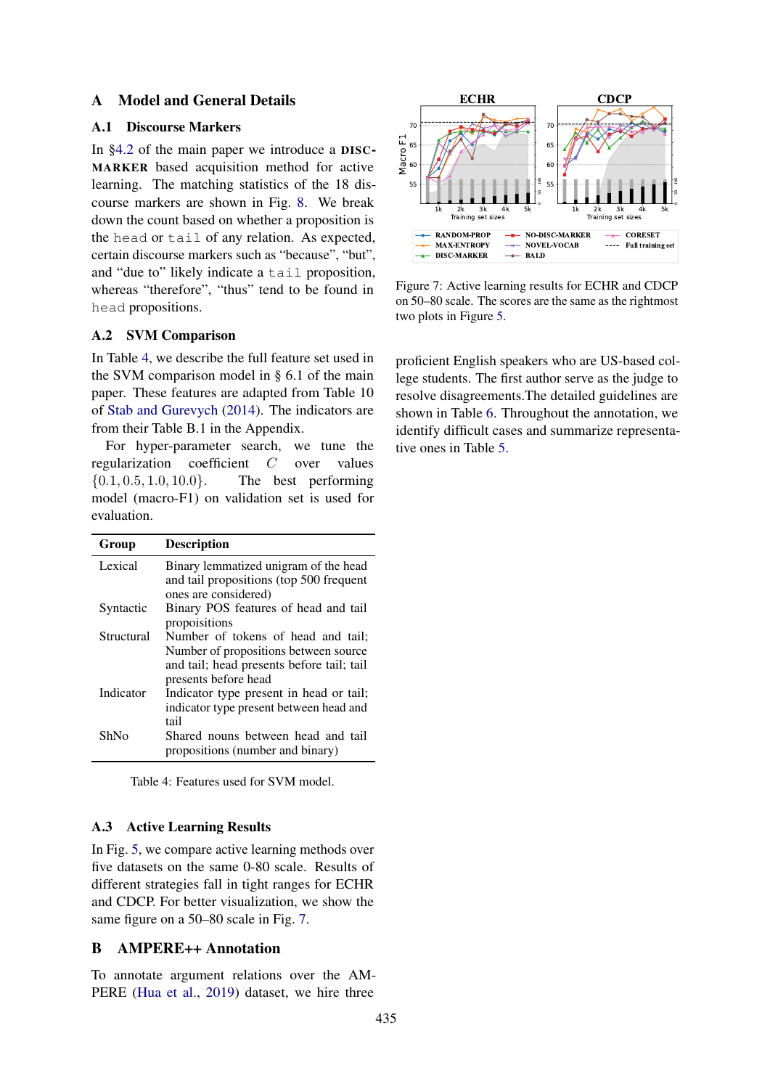# A Model and General Details

## <span id="page-12-0"></span>A.1 Discourse Markers

In [§4.2](#page-3-3) of the main paper we introduce a DISC-MARKER based acquisition method for active learning. The matching statistics of the 18 discourse markers are shown in Fig. [8.](#page-13-0) We break down the count based on whether a proposition is the head or tail of any relation. As expected, certain discourse markers such as "because", "but", and "due to" likely indicate a tail proposition, whereas "therefore", "thus" tend to be found in head propositions.

# <span id="page-12-2"></span>A.2 SVM Comparison

In Table [4,](#page-12-4) we describe the full feature set used in the SVM comparison model in § 6.1 of the main paper. These features are adapted from Table 10 of [Stab and Gurevych](#page-11-11) [\(2014\)](#page-11-11). The indicators are from their Table B.1 in the Appendix.

For hyper-parameter search, we tune the regularization coefficient C over values  ${0.1, 0.5, 1.0, 10.0}$ . The best performing model (macro-F1) on validation set is used for evaluation.

<span id="page-12-4"></span>

| Group      | <b>Description</b>                                                                                                                               |
|------------|--------------------------------------------------------------------------------------------------------------------------------------------------|
| Lexical    | Binary lemmatized unigram of the head<br>and tail propositions (top 500 frequent<br>ones are considered)                                         |
| Syntactic  | Binary POS features of head and tail<br>propoisitions                                                                                            |
| Structural | Number of tokens of head and tail;<br>Number of propositions between source<br>and tail; head presents before tail; tail<br>presents before head |
| Indicator  | Indicator type present in head or tail;<br>indicator type present between head and<br>tail                                                       |
| ShNo       | Shared nouns between head and tail<br>propositions (number and binary)                                                                           |

Table 4: Features used for SVM model.

### <span id="page-12-3"></span>A.3 Active Learning Results

In Fig. [5,](#page-8-0) we compare active learning methods over five datasets on the same 0-80 scale. Results of different strategies fall in tight ranges for ECHR and CDCP. For better visualization, we show the same figure on a 50–80 scale in Fig. [7.](#page-12-5)

# <span id="page-12-1"></span>B AMPERE++ Annotation

To annotate argument relations over the AM-PERE [\(Hua et al.,](#page-10-12) [2019\)](#page-10-12) dataset, we hire three

<span id="page-12-5"></span>

Figure 7: Active learning results for ECHR and CDCP on 50–80 scale. The scores are the same as the rightmost two plots in Figure [5.](#page-8-0)

proficient English speakers who are US-based college students. The first author serve as the judge to resolve disagreements.The detailed guidelines are shown in Table [6.](#page-14-0) Throughout the annotation, we identify difficult cases and summarize representative ones in Table [5.](#page-13-1)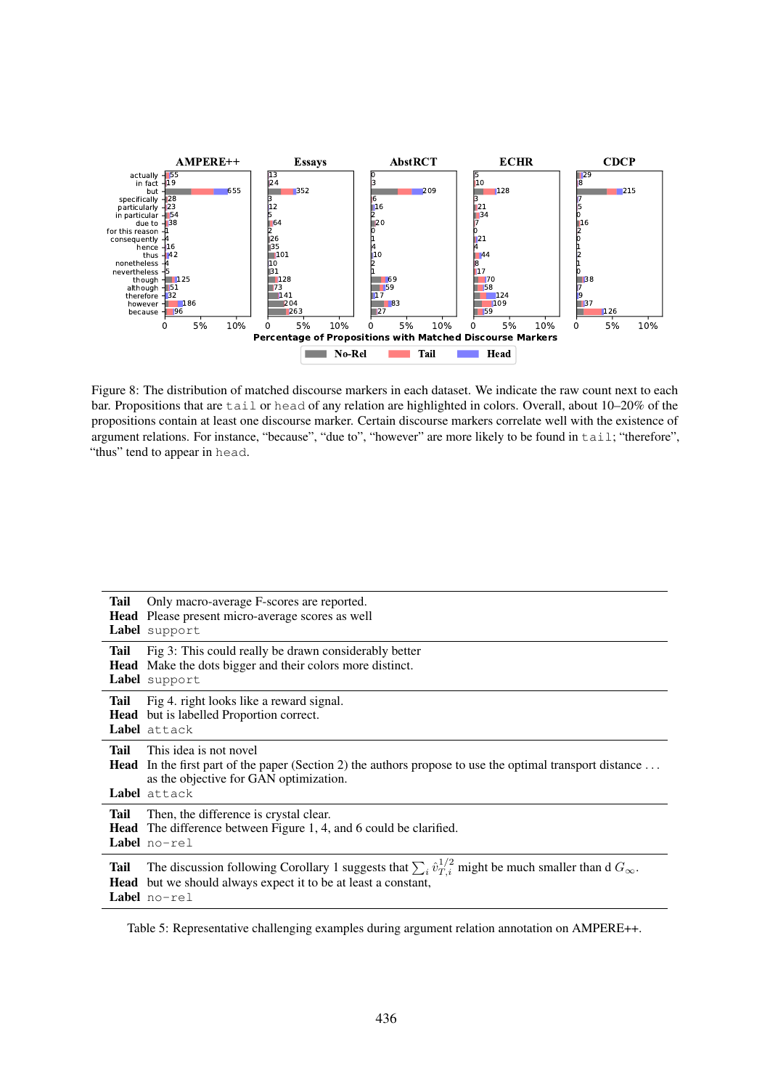<span id="page-13-0"></span>

Figure 8: The distribution of matched discourse markers in each dataset. We indicate the raw count next to each bar. Propositions that are tail or head of any relation are highlighted in colors. Overall, about 10–20% of the propositions contain at least one discourse marker. Certain discourse markers correlate well with the existence of argument relations. For instance, "because", "due to", "however" are more likely to be found in tail; "therefore", "thus" tend to appear in head.

<span id="page-13-1"></span>

| Tail        | Only macro-average F-scores are reported.<br>Head Please present micro-average scores as well<br>Label support                                                                                                                |
|-------------|-------------------------------------------------------------------------------------------------------------------------------------------------------------------------------------------------------------------------------|
| <b>Tail</b> | Fig 3: This could really be drawn considerably better<br>Head Make the dots bigger and their colors more distinct.<br>Label support                                                                                           |
| <b>Tail</b> | Fig 4. right looks like a reward signal.<br><b>Head</b> but is labelled Proportion correct.<br>Label attack                                                                                                                   |
| Tail        | This idea is not novel<br><b>Head</b> In the first part of the paper (Section 2) the authors propose to use the optimal transport distance<br>as the objective for GAN optimization.<br>Label attack                          |
| <b>Tail</b> | Then, the difference is crystal clear.<br><b>Head</b> The difference between Figure 1, 4, and 6 could be clarified.<br><b>Label</b> $no-rel$                                                                                  |
| Tail        | The discussion following Corollary 1 suggests that $\sum_i \hat{v}_{T,i}^{1/2}$ might be much smaller than d $G_{\infty}$ .<br><b>Head</b> but we should always expect it to be at least a constant,<br><b>Label</b> $no-rel$ |

Table 5: Representative challenging examples during argument relation annotation on AMPERE++.